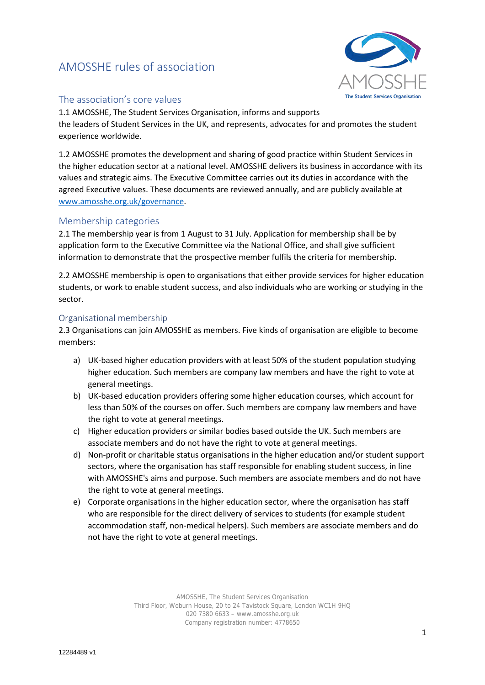# AMOSSHE rules of association



# The association's core values

1.1 AMOSSHE, The Student Services Organisation, informs and supports the leaders of Student Services in the UK, and represents, advocates for and promotes the student experience worldwide.

1.2 AMOSSHE promotes the development and sharing of good practice within Student Services in the higher education sector at a national level. AMOSSHE delivers its business in accordance with its values and strategic aims. The Executive Committee carries out its duties in accordance with the agreed Executive values. These documents are reviewed annually, and are publicly available at [www.amosshe.org.uk/governance.](http://www.amosshe.org.uk/governance)

# Membership categories

2.1 The membership year is from 1 August to 31 July. Application for membership shall be by application form to the Executive Committee via the National Office, and shall give sufficient information to demonstrate that the prospective member fulfils the criteria for membership.

2.2 AMOSSHE membership is open to organisations that either provide services for higher education students, or work to enable student success, and also individuals who are working or studying in the sector.

#### Organisational membership

2.3 Organisations can join AMOSSHE as members. Five kinds of organisation are eligible to become members:

- a) UK-based higher education providers with at least 50% of the student population studying higher education. Such members are company law members and have the right to vote at general meetings.
- b) UK-based education providers offering some higher education courses, which account for less than 50% of the courses on offer. Such members are company law members and have the right to vote at general meetings.
- c) Higher education providers or similar bodies based outside the UK. Such members are associate members and do not have the right to vote at general meetings.
- d) Non-profit or charitable status organisations in the higher education and/or student support sectors, where the organisation has staff responsible for enabling student success, in line with AMOSSHE's aims and purpose. Such members are associate members and do not have the right to vote at general meetings.
- e) Corporate organisations in the higher education sector, where the organisation has staff who are responsible for the direct delivery of services to students (for example student accommodation staff, non-medical helpers). Such members are associate members and do not have the right to vote at general meetings.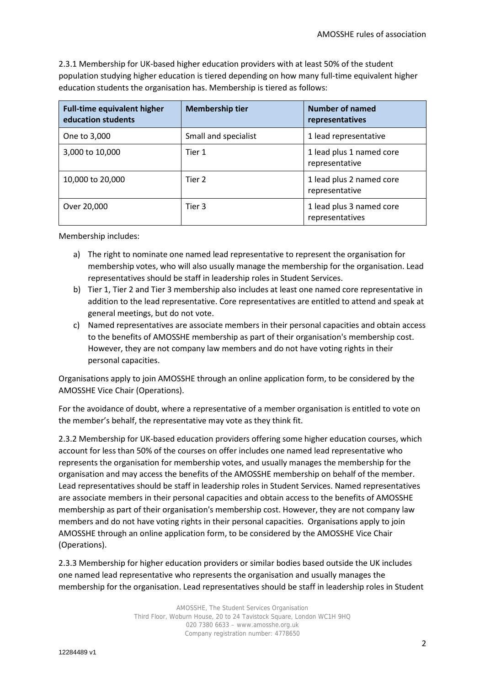2.3.1 Membership for UK-based higher education providers with at least 50% of the student population studying higher education is tiered depending on how many full-time equivalent higher education students the organisation has. Membership is tiered as follows:

| <b>Full-time equivalent higher</b><br>education students | <b>Membership tier</b> | Number of named<br>representatives          |
|----------------------------------------------------------|------------------------|---------------------------------------------|
| One to 3,000                                             | Small and specialist   | 1 lead representative                       |
| 3,000 to 10,000                                          | Tier 1                 | 1 lead plus 1 named core<br>representative  |
| 10,000 to 20,000                                         | Tier 2                 | 1 lead plus 2 named core<br>representative  |
| Over 20,000                                              | Tier 3                 | 1 lead plus 3 named core<br>representatives |

Membership includes:

- a) The right to nominate one named lead representative to represent the organisation for membership votes, who will also usually manage the membership for the organisation. Lead representatives should be staff in leadership roles in Student Services.
- b) Tier 1, Tier 2 and Tier 3 membership also includes at least one named core representative in addition to the lead representative. Core representatives are entitled to attend and speak at general meetings, but do not vote.
- c) Named representatives are associate members in their personal capacities and obtain access to the benefits of AMOSSHE membership as part of their organisation's membership cost. However, they are not company law members and do not have voting rights in their personal capacities.

Organisations apply to join AMOSSHE through an online application form, to be considered by the AMOSSHE Vice Chair (Operations).

For the avoidance of doubt, where a representative of a member organisation is entitled to vote on the member's behalf, the representative may vote as they think fit.

2.3.2 Membership for UK-based education providers offering some higher education courses, which account for less than 50% of the courses on offer includes one named lead representative who represents the organisation for membership votes, and usually manages the membership for the organisation and may access the benefits of the AMOSSHE membership on behalf of the member. Lead representatives should be staff in leadership roles in Student Services. Named representatives are associate members in their personal capacities and obtain access to the benefits of AMOSSHE membership as part of their organisation's membership cost. However, they are not company law members and do not have voting rights in their personal capacities. Organisations apply to join AMOSSHE through an online application form, to be considered by the AMOSSHE Vice Chair (Operations).

2.3.3 Membership for higher education providers or similar bodies based outside the UK includes one named lead representative who represents the organisation and usually manages the membership for the organisation. Lead representatives should be staff in leadership roles in Student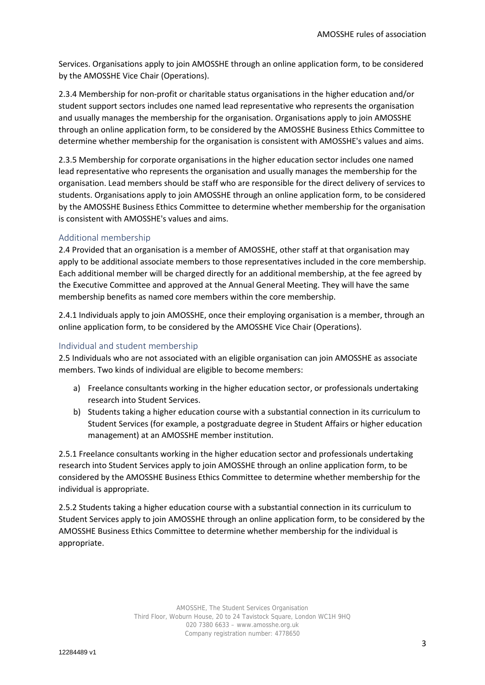Services. Organisations apply to join AMOSSHE through an online application form, to be considered by the AMOSSHE Vice Chair (Operations).

2.3.4 Membership for non-profit or charitable status organisations in the higher education and/or student support sectors includes one named lead representative who represents the organisation and usually manages the membership for the organisation. Organisations apply to join AMOSSHE through an online application form, to be considered by the AMOSSHE Business Ethics Committee to determine whether membership for the organisation is consistent with AMOSSHE's values and aims.

2.3.5 Membership for corporate organisations in the higher education sector includes one named lead representative who represents the organisation and usually manages the membership for the organisation. Lead members should be staff who are responsible for the direct delivery of services to students. Organisations apply to join AMOSSHE through an online application form, to be considered by the AMOSSHE Business Ethics Committee to determine whether membership for the organisation is consistent with AMOSSHE's values and aims.

### Additional membership

2.4 Provided that an organisation is a member of AMOSSHE, other staff at that organisation may apply to be additional associate members to those representatives included in the core membership. Each additional member will be charged directly for an additional membership, at the fee agreed by the Executive Committee and approved at the Annual General Meeting. They will have the same membership benefits as named core members within the core membership.

2.4.1 Individuals apply to join AMOSSHE, once their employing organisation is a member, through an online application form, to be considered by the AMOSSHE Vice Chair (Operations).

### Individual and student membership

2.5 Individuals who are not associated with an eligible organisation can join AMOSSHE as associate members. Two kinds of individual are eligible to become members:

- a) Freelance consultants working in the higher education sector, or professionals undertaking research into Student Services.
- b) Students taking a higher education course with a substantial connection in its curriculum to Student Services (for example, a postgraduate degree in Student Affairs or higher education management) at an AMOSSHE member institution.

2.5.1 Freelance consultants working in the higher education sector and professionals undertaking research into Student Services apply to join AMOSSHE through an online application form, to be considered by the AMOSSHE Business Ethics Committee to determine whether membership for the individual is appropriate.

2.5.2 Students taking a higher education course with a substantial connection in its curriculum to Student Services apply to join AMOSSHE through an online application form, to be considered by the AMOSSHE Business Ethics Committee to determine whether membership for the individual is appropriate.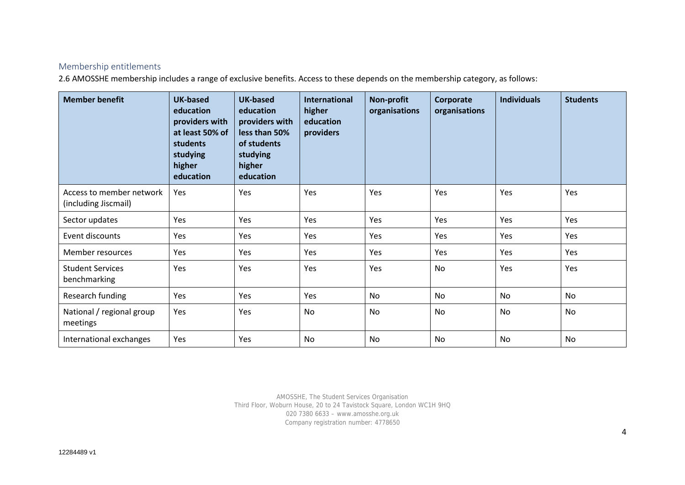# Membership entitlements

2.6 AMOSSHE membership includes a range of exclusive benefits. Access to these depends on the membership category, as follows:

| <b>Member benefit</b>                            | <b>UK-based</b><br>education<br>providers with<br>at least 50% of<br>students<br>studying<br>higher<br>education | <b>UK-based</b><br>education<br>providers with<br>less than 50%<br>of students<br>studying<br>higher<br>education | <b>International</b><br>higher<br>education<br>providers | Non-profit<br>organisations | Corporate<br>organisations | <b>Individuals</b> | <b>Students</b> |
|--------------------------------------------------|------------------------------------------------------------------------------------------------------------------|-------------------------------------------------------------------------------------------------------------------|----------------------------------------------------------|-----------------------------|----------------------------|--------------------|-----------------|
| Access to member network<br>(including Jiscmail) | Yes                                                                                                              | Yes                                                                                                               | Yes                                                      | Yes                         | Yes                        | Yes                | Yes             |
| Sector updates                                   | Yes                                                                                                              | Yes                                                                                                               | Yes                                                      | Yes                         | Yes                        | Yes                | Yes             |
| Event discounts                                  | Yes                                                                                                              | Yes                                                                                                               | Yes                                                      | Yes                         | Yes                        | Yes                | Yes             |
| Member resources                                 | Yes                                                                                                              | Yes                                                                                                               | Yes                                                      | Yes                         | Yes                        | Yes                | Yes             |
| <b>Student Services</b><br>benchmarking          | Yes                                                                                                              | Yes                                                                                                               | Yes                                                      | Yes                         | No                         | Yes                | Yes             |
| Research funding                                 | Yes                                                                                                              | Yes                                                                                                               | Yes                                                      | <b>No</b>                   | No                         | <b>No</b>          | No              |
| National / regional group<br>meetings            | Yes                                                                                                              | Yes                                                                                                               | No                                                       | No                          | No                         | <b>No</b>          | No              |
| International exchanges                          | Yes                                                                                                              | Yes                                                                                                               | No                                                       | No                          | <b>No</b>                  | No                 | No              |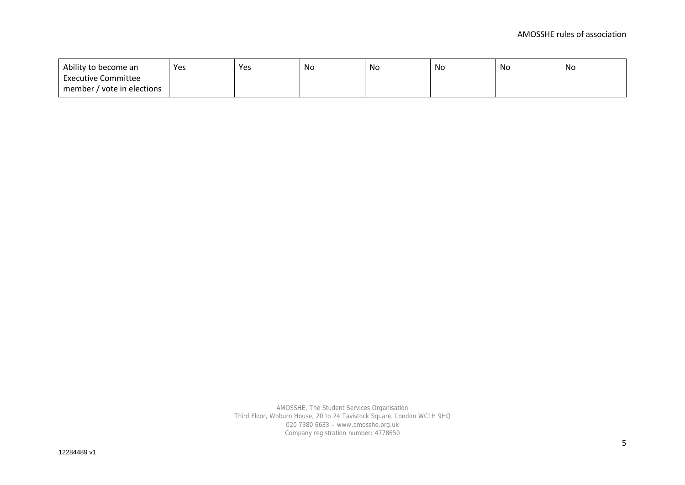| Ability to become an       | Yes | Yes | No | No | No | No | No |
|----------------------------|-----|-----|----|----|----|----|----|
| <b>Executive Committee</b> |     |     |    |    |    |    |    |
| member / vote in elections |     |     |    |    |    |    |    |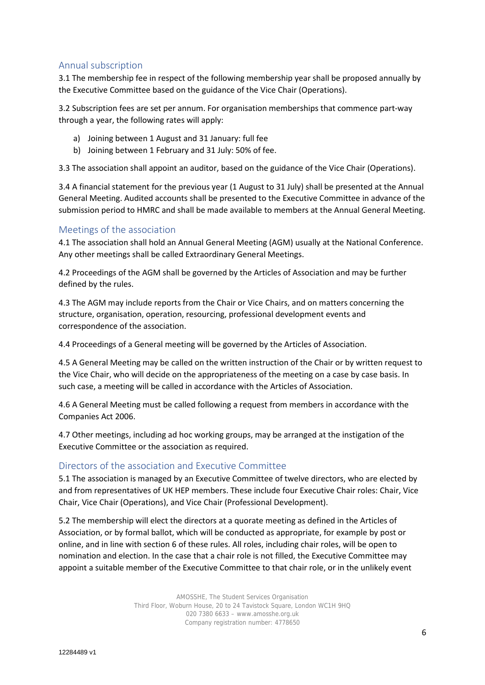# Annual subscription

3.1 The membership fee in respect of the following membership year shall be proposed annually by the Executive Committee based on the guidance of the Vice Chair (Operations).

3.2 Subscription fees are set per annum. For organisation memberships that commence part-way through a year, the following rates will apply:

- a) Joining between 1 August and 31 January: full fee
- b) Joining between 1 February and 31 July: 50% of fee.

3.3 The association shall appoint an auditor, based on the guidance of the Vice Chair (Operations).

3.4 A financial statement for the previous year (1 August to 31 July) shall be presented at the Annual General Meeting. Audited accounts shall be presented to the Executive Committee in advance of the submission period to HMRC and shall be made available to members at the Annual General Meeting.

### Meetings of the association

4.1 The association shall hold an Annual General Meeting (AGM) usually at the National Conference. Any other meetings shall be called Extraordinary General Meetings.

4.2 Proceedings of the AGM shall be governed by the Articles of Association and may be further defined by the rules.

4.3 The AGM may include reports from the Chair or Vice Chairs, and on matters concerning the structure, organisation, operation, resourcing, professional development events and correspondence of the association.

4.4 Proceedings of a General meeting will be governed by the Articles of Association.

4.5 A General Meeting may be called on the written instruction of the Chair or by written request to the Vice Chair, who will decide on the appropriateness of the meeting on a case by case basis. In such case, a meeting will be called in accordance with the Articles of Association.

4.6 A General Meeting must be called following a request from members in accordance with the Companies Act 2006.

4.7 Other meetings, including ad hoc working groups, may be arranged at the instigation of the Executive Committee or the association as required.

### Directors of the association and Executive Committee

5.1 The association is managed by an Executive Committee of twelve directors, who are elected by and from representatives of UK HEP members. These include four Executive Chair roles: Chair, Vice Chair, Vice Chair (Operations), and Vice Chair (Professional Development).

5.2 The membership will elect the directors at a quorate meeting as defined in the Articles of Association, or by formal ballot, which will be conducted as appropriate, for example by post or online, and in line with section 6 of these rules. All roles, including chair roles, will be open to nomination and election. In the case that a chair role is not filled, the Executive Committee may appoint a suitable member of the Executive Committee to that chair role, or in the unlikely event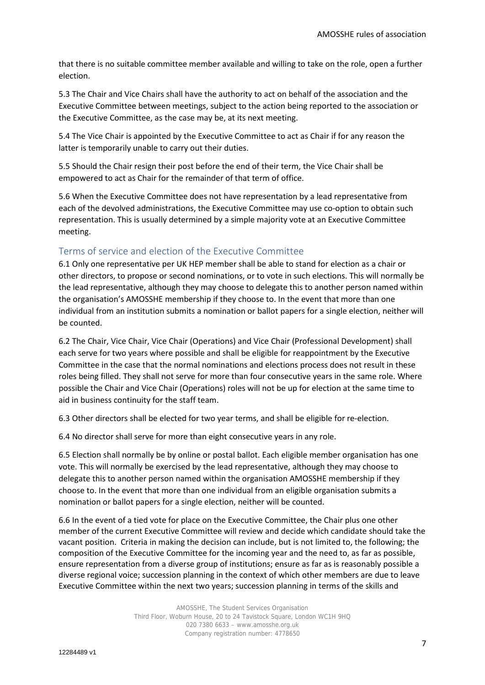that there is no suitable committee member available and willing to take on the role, open a further election.

5.3 The Chair and Vice Chairs shall have the authority to act on behalf of the association and the Executive Committee between meetings, subject to the action being reported to the association or the Executive Committee, as the case may be, at its next meeting.

5.4 The Vice Chair is appointed by the Executive Committee to act as Chair if for any reason the latter is temporarily unable to carry out their duties.

5.5 Should the Chair resign their post before the end of their term, the Vice Chair shall be empowered to act as Chair for the remainder of that term of office.

5.6 When the Executive Committee does not have representation by a lead representative from each of the devolved administrations, the Executive Committee may use co-option to obtain such representation. This is usually determined by a simple majority vote at an Executive Committee meeting.

# Terms of service and election of the Executive Committee

6.1 Only one representative per UK HEP member shall be able to stand for election as a chair or other directors, to propose or second nominations, or to vote in such elections. This will normally be the lead representative, although they may choose to delegate this to another person named within the organisation's AMOSSHE membership if they choose to. In the event that more than one individual from an institution submits a nomination or ballot papers for a single election, neither will be counted.

6.2 The Chair, Vice Chair, Vice Chair (Operations) and Vice Chair (Professional Development) shall each serve for two years where possible and shall be eligible for reappointment by the Executive Committee in the case that the normal nominations and elections process does not result in these roles being filled. They shall not serve for more than four consecutive years in the same role. Where possible the Chair and Vice Chair (Operations) roles will not be up for election at the same time to aid in business continuity for the staff team.

6.3 Other directors shall be elected for two year terms, and shall be eligible for re-election.

6.4 No director shall serve for more than eight consecutive years in any role.

6.5 Election shall normally be by online or postal ballot. Each eligible member organisation has one vote. This will normally be exercised by the lead representative, although they may choose to delegate this to another person named within the organisation AMOSSHE membership if they choose to. In the event that more than one individual from an eligible organisation submits a nomination or ballot papers for a single election, neither will be counted.

6.6 In the event of a tied vote for place on the Executive Committee, the Chair plus one other member of the current Executive Committee will review and decide which candidate should take the vacant position. Criteria in making the decision can include, but is not limited to, the following; the composition of the Executive Committee for the incoming year and the need to, as far as possible, ensure representation from a diverse group of institutions; ensure as far as is reasonably possible a diverse regional voice; succession planning in the context of which other members are due to leave Executive Committee within the next two years; succession planning in terms of the skills and